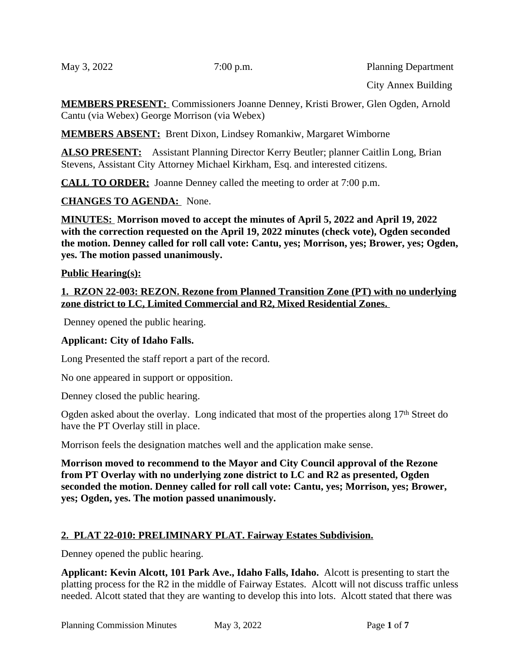May 3, 2022 7:00 p.m. Planning Department

City Annex Building

**MEMBERS PRESENT:** Commissioners Joanne Denney, Kristi Brower, Glen Ogden, Arnold Cantu (via Webex) George Morrison (via Webex)

**MEMBERS ABSENT:** Brent Dixon, Lindsey Romankiw, Margaret Wimborne

**ALSO PRESENT:** Assistant Planning Director Kerry Beutler; planner Caitlin Long, Brian Stevens, Assistant City Attorney Michael Kirkham, Esq. and interested citizens.

**CALL TO ORDER:** Joanne Denney called the meeting to order at 7:00 p.m.

**CHANGES TO AGENDA:** None.

**MINUTES: Morrison moved to accept the minutes of April 5, 2022 and April 19, 2022 with the correction requested on the April 19, 2022 minutes (check vote), Ogden seconded the motion. Denney called for roll call vote: Cantu, yes; Morrison, yes; Brower, yes; Ogden, yes. The motion passed unanimously.**

#### **Public Hearing(s):**

**1. RZON 22-003: REZON. Rezone from Planned Transition Zone (PT) with no underlying zone district to LC, Limited Commercial and R2, Mixed Residential Zones.** 

Denney opened the public hearing.

#### **Applicant: City of Idaho Falls.**

Long Presented the staff report a part of the record.

No one appeared in support or opposition.

Denney closed the public hearing.

Ogden asked about the overlay. Long indicated that most of the properties along 17<sup>th</sup> Street do have the PT Overlay still in place.

Morrison feels the designation matches well and the application make sense.

**Morrison moved to recommend to the Mayor and City Council approval of the Rezone from PT Overlay with no underlying zone district to LC and R2 as presented, Ogden seconded the motion. Denney called for roll call vote: Cantu, yes; Morrison, yes; Brower, yes; Ogden, yes. The motion passed unanimously.**

### **2. PLAT 22-010: PRELIMINARY PLAT. Fairway Estates Subdivision.**

Denney opened the public hearing.

**Applicant: Kevin Alcott, 101 Park Ave., Idaho Falls, Idaho.** Alcott is presenting to start the platting process for the R2 in the middle of Fairway Estates. Alcott will not discuss traffic unless needed. Alcott stated that they are wanting to develop this into lots. Alcott stated that there was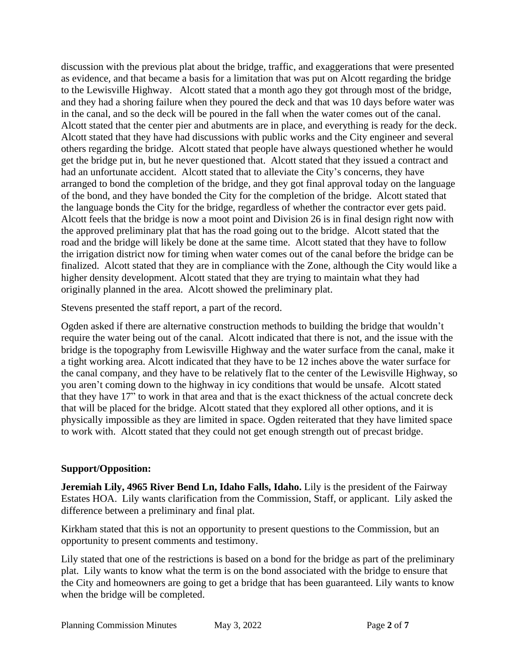discussion with the previous plat about the bridge, traffic, and exaggerations that were presented as evidence, and that became a basis for a limitation that was put on Alcott regarding the bridge to the Lewisville Highway. Alcott stated that a month ago they got through most of the bridge, and they had a shoring failure when they poured the deck and that was 10 days before water was in the canal, and so the deck will be poured in the fall when the water comes out of the canal. Alcott stated that the center pier and abutments are in place, and everything is ready for the deck. Alcott stated that they have had discussions with public works and the City engineer and several others regarding the bridge. Alcott stated that people have always questioned whether he would get the bridge put in, but he never questioned that. Alcott stated that they issued a contract and had an unfortunate accident. Alcott stated that to alleviate the City's concerns, they have arranged to bond the completion of the bridge, and they got final approval today on the language of the bond, and they have bonded the City for the completion of the bridge. Alcott stated that the language bonds the City for the bridge, regardless of whether the contractor ever gets paid. Alcott feels that the bridge is now a moot point and Division 26 is in final design right now with the approved preliminary plat that has the road going out to the bridge. Alcott stated that the road and the bridge will likely be done at the same time. Alcott stated that they have to follow the irrigation district now for timing when water comes out of the canal before the bridge can be finalized. Alcott stated that they are in compliance with the Zone, although the City would like a higher density development. Alcott stated that they are trying to maintain what they had originally planned in the area. Alcott showed the preliminary plat.

Stevens presented the staff report, a part of the record.

Ogden asked if there are alternative construction methods to building the bridge that wouldn't require the water being out of the canal. Alcott indicated that there is not, and the issue with the bridge is the topography from Lewisville Highway and the water surface from the canal, make it a tight working area. Alcott indicated that they have to be 12 inches above the water surface for the canal company, and they have to be relatively flat to the center of the Lewisville Highway, so you aren't coming down to the highway in icy conditions that would be unsafe. Alcott stated that they have 17" to work in that area and that is the exact thickness of the actual concrete deck that will be placed for the bridge. Alcott stated that they explored all other options, and it is physically impossible as they are limited in space. Ogden reiterated that they have limited space to work with. Alcott stated that they could not get enough strength out of precast bridge.

## **Support/Opposition:**

**Jeremiah Lily, 4965 River Bend Ln, Idaho Falls, Idaho.** Lily is the president of the Fairway Estates HOA. Lily wants clarification from the Commission, Staff, or applicant. Lily asked the difference between a preliminary and final plat.

Kirkham stated that this is not an opportunity to present questions to the Commission, but an opportunity to present comments and testimony.

Lily stated that one of the restrictions is based on a bond for the bridge as part of the preliminary plat. Lily wants to know what the term is on the bond associated with the bridge to ensure that the City and homeowners are going to get a bridge that has been guaranteed. Lily wants to know when the bridge will be completed.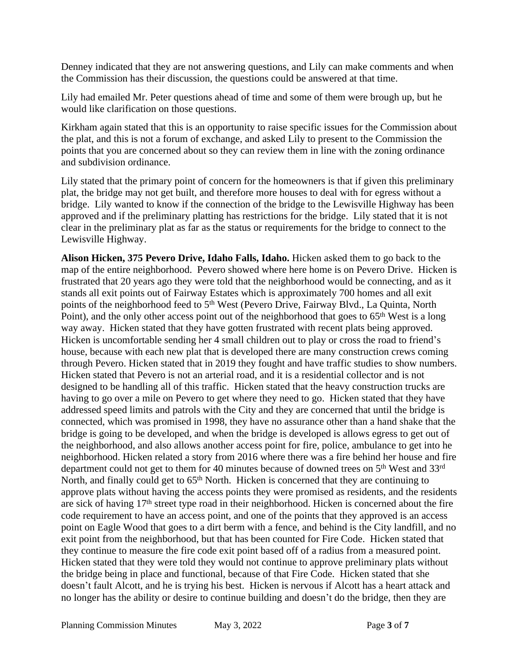Denney indicated that they are not answering questions, and Lily can make comments and when the Commission has their discussion, the questions could be answered at that time.

Lily had emailed Mr. Peter questions ahead of time and some of them were brough up, but he would like clarification on those questions.

Kirkham again stated that this is an opportunity to raise specific issues for the Commission about the plat, and this is not a forum of exchange, and asked Lily to present to the Commission the points that you are concerned about so they can review them in line with the zoning ordinance and subdivision ordinance.

Lily stated that the primary point of concern for the homeowners is that if given this preliminary plat, the bridge may not get built, and therefore more houses to deal with for egress without a bridge. Lily wanted to know if the connection of the bridge to the Lewisville Highway has been approved and if the preliminary platting has restrictions for the bridge. Lily stated that it is not clear in the preliminary plat as far as the status or requirements for the bridge to connect to the Lewisville Highway.

**Alison Hicken, 375 Pevero Drive, Idaho Falls, Idaho.** Hicken asked them to go back to the map of the entire neighborhood. Pevero showed where here home is on Pevero Drive. Hicken is frustrated that 20 years ago they were told that the neighborhood would be connecting, and as it stands all exit points out of Fairway Estates which is approximately 700 homes and all exit points of the neighborhood feed to 5<sup>th</sup> West (Pevero Drive, Fairway Blvd., La Quinta, North Point), and the only other access point out of the neighborhood that goes to  $65<sup>th</sup>$  West is a long way away. Hicken stated that they have gotten frustrated with recent plats being approved. Hicken is uncomfortable sending her 4 small children out to play or cross the road to friend's house, because with each new plat that is developed there are many construction crews coming through Pevero. Hicken stated that in 2019 they fought and have traffic studies to show numbers. Hicken stated that Pevero is not an arterial road, and it is a residential collector and is not designed to be handling all of this traffic. Hicken stated that the heavy construction trucks are having to go over a mile on Pevero to get where they need to go. Hicken stated that they have addressed speed limits and patrols with the City and they are concerned that until the bridge is connected, which was promised in 1998, they have no assurance other than a hand shake that the bridge is going to be developed, and when the bridge is developed is allows egress to get out of the neighborhood, and also allows another access point for fire, police, ambulance to get into he neighborhood. Hicken related a story from 2016 where there was a fire behind her house and fire department could not get to them for 40 minutes because of downed trees on 5<sup>th</sup> West and 33<sup>rd</sup> North, and finally could get to 65<sup>th</sup> North. Hicken is concerned that they are continuing to approve plats without having the access points they were promised as residents, and the residents are sick of having 17<sup>th</sup> street type road in their neighborhood. Hicken is concerned about the fire code requirement to have an access point, and one of the points that they approved is an access point on Eagle Wood that goes to a dirt berm with a fence, and behind is the City landfill, and no exit point from the neighborhood, but that has been counted for Fire Code. Hicken stated that they continue to measure the fire code exit point based off of a radius from a measured point. Hicken stated that they were told they would not continue to approve preliminary plats without the bridge being in place and functional, because of that Fire Code. Hicken stated that she doesn't fault Alcott, and he is trying his best. Hicken is nervous if Alcott has a heart attack and no longer has the ability or desire to continue building and doesn't do the bridge, then they are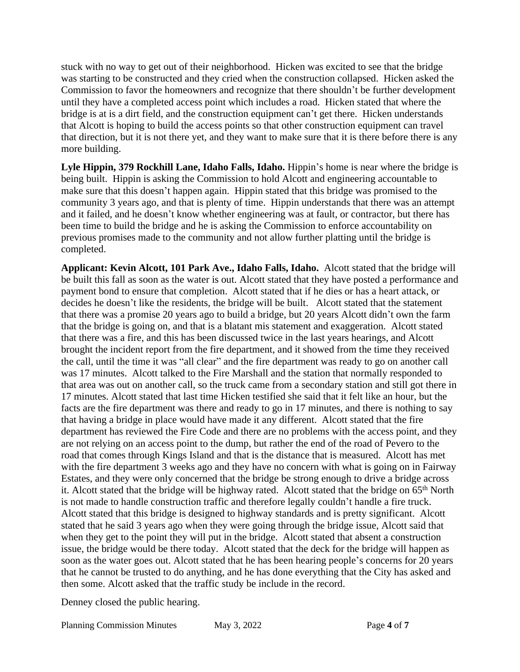stuck with no way to get out of their neighborhood. Hicken was excited to see that the bridge was starting to be constructed and they cried when the construction collapsed. Hicken asked the Commission to favor the homeowners and recognize that there shouldn't be further development until they have a completed access point which includes a road. Hicken stated that where the bridge is at is a dirt field, and the construction equipment can't get there. Hicken understands that Alcott is hoping to build the access points so that other construction equipment can travel that direction, but it is not there yet, and they want to make sure that it is there before there is any more building.

**Lyle Hippin, 379 Rockhill Lane, Idaho Falls, Idaho.** Hippin's home is near where the bridge is being built. Hippin is asking the Commission to hold Alcott and engineering accountable to make sure that this doesn't happen again. Hippin stated that this bridge was promised to the community 3 years ago, and that is plenty of time. Hippin understands that there was an attempt and it failed, and he doesn't know whether engineering was at fault, or contractor, but there has been time to build the bridge and he is asking the Commission to enforce accountability on previous promises made to the community and not allow further platting until the bridge is completed.

**Applicant: Kevin Alcott, 101 Park Ave., Idaho Falls, Idaho.** Alcott stated that the bridge will be built this fall as soon as the water is out. Alcott stated that they have posted a performance and payment bond to ensure that completion. Alcott stated that if he dies or has a heart attack, or decides he doesn't like the residents, the bridge will be built. Alcott stated that the statement that there was a promise 20 years ago to build a bridge, but 20 years Alcott didn't own the farm that the bridge is going on, and that is a blatant mis statement and exaggeration. Alcott stated that there was a fire, and this has been discussed twice in the last years hearings, and Alcott brought the incident report from the fire department, and it showed from the time they received the call, until the time it was "all clear" and the fire department was ready to go on another call was 17 minutes. Alcott talked to the Fire Marshall and the station that normally responded to that area was out on another call, so the truck came from a secondary station and still got there in 17 minutes. Alcott stated that last time Hicken testified she said that it felt like an hour, but the facts are the fire department was there and ready to go in 17 minutes, and there is nothing to say that having a bridge in place would have made it any different. Alcott stated that the fire department has reviewed the Fire Code and there are no problems with the access point, and they are not relying on an access point to the dump, but rather the end of the road of Pevero to the road that comes through Kings Island and that is the distance that is measured. Alcott has met with the fire department 3 weeks ago and they have no concern with what is going on in Fairway Estates, and they were only concerned that the bridge be strong enough to drive a bridge across it. Alcott stated that the bridge will be highway rated. Alcott stated that the bridge on 65<sup>th</sup> North is not made to handle construction traffic and therefore legally couldn't handle a fire truck. Alcott stated that this bridge is designed to highway standards and is pretty significant. Alcott stated that he said 3 years ago when they were going through the bridge issue, Alcott said that when they get to the point they will put in the bridge. Alcott stated that absent a construction issue, the bridge would be there today. Alcott stated that the deck for the bridge will happen as soon as the water goes out. Alcott stated that he has been hearing people's concerns for 20 years that he cannot be trusted to do anything, and he has done everything that the City has asked and then some. Alcott asked that the traffic study be include in the record.

Denney closed the public hearing.

Planning Commission Minutes May 3, 2022 Page **4** of **7**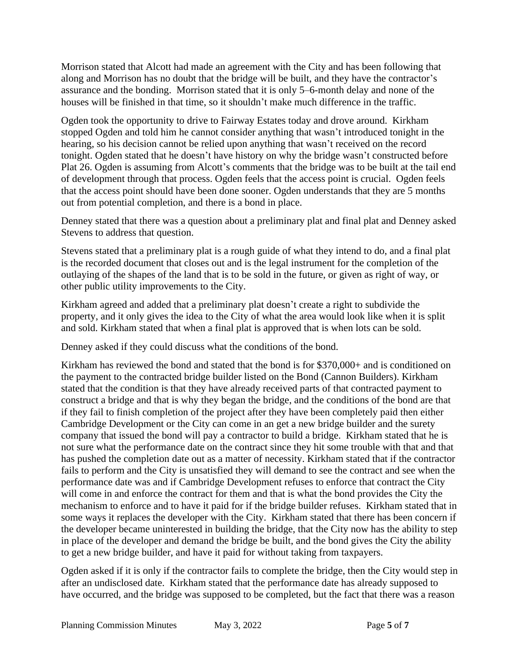Morrison stated that Alcott had made an agreement with the City and has been following that along and Morrison has no doubt that the bridge will be built, and they have the contractor's assurance and the bonding. Morrison stated that it is only 5–6-month delay and none of the houses will be finished in that time, so it shouldn't make much difference in the traffic.

Ogden took the opportunity to drive to Fairway Estates today and drove around. Kirkham stopped Ogden and told him he cannot consider anything that wasn't introduced tonight in the hearing, so his decision cannot be relied upon anything that wasn't received on the record tonight. Ogden stated that he doesn't have history on why the bridge wasn't constructed before Plat 26. Ogden is assuming from Alcott's comments that the bridge was to be built at the tail end of development through that process. Ogden feels that the access point is crucial. Ogden feels that the access point should have been done sooner. Ogden understands that they are 5 months out from potential completion, and there is a bond in place.

Denney stated that there was a question about a preliminary plat and final plat and Denney asked Stevens to address that question.

Stevens stated that a preliminary plat is a rough guide of what they intend to do, and a final plat is the recorded document that closes out and is the legal instrument for the completion of the outlaying of the shapes of the land that is to be sold in the future, or given as right of way, or other public utility improvements to the City.

Kirkham agreed and added that a preliminary plat doesn't create a right to subdivide the property, and it only gives the idea to the City of what the area would look like when it is split and sold. Kirkham stated that when a final plat is approved that is when lots can be sold.

Denney asked if they could discuss what the conditions of the bond.

Kirkham has reviewed the bond and stated that the bond is for \$370,000+ and is conditioned on the payment to the contracted bridge builder listed on the Bond (Cannon Builders). Kirkham stated that the condition is that they have already received parts of that contracted payment to construct a bridge and that is why they began the bridge, and the conditions of the bond are that if they fail to finish completion of the project after they have been completely paid then either Cambridge Development or the City can come in an get a new bridge builder and the surety company that issued the bond will pay a contractor to build a bridge. Kirkham stated that he is not sure what the performance date on the contract since they hit some trouble with that and that has pushed the completion date out as a matter of necessity. Kirkham stated that if the contractor fails to perform and the City is unsatisfied they will demand to see the contract and see when the performance date was and if Cambridge Development refuses to enforce that contract the City will come in and enforce the contract for them and that is what the bond provides the City the mechanism to enforce and to have it paid for if the bridge builder refuses. Kirkham stated that in some ways it replaces the developer with the City. Kirkham stated that there has been concern if the developer became uninterested in building the bridge, that the City now has the ability to step in place of the developer and demand the bridge be built, and the bond gives the City the ability to get a new bridge builder, and have it paid for without taking from taxpayers.

Ogden asked if it is only if the contractor fails to complete the bridge, then the City would step in after an undisclosed date. Kirkham stated that the performance date has already supposed to have occurred, and the bridge was supposed to be completed, but the fact that there was a reason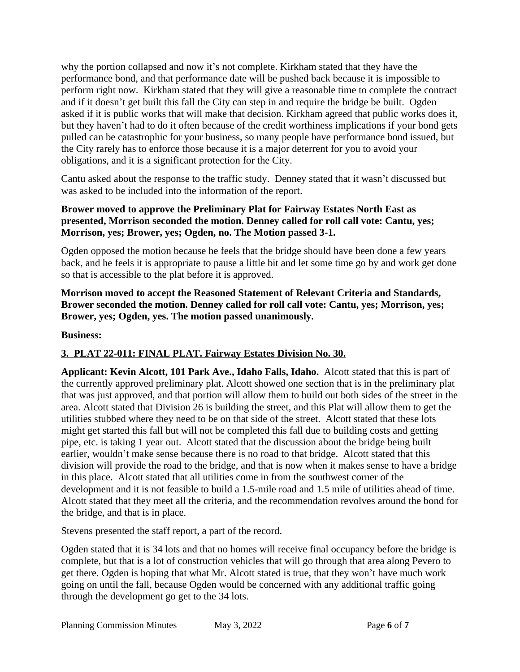why the portion collapsed and now it's not complete. Kirkham stated that they have the performance bond, and that performance date will be pushed back because it is impossible to perform right now. Kirkham stated that they will give a reasonable time to complete the contract and if it doesn't get built this fall the City can step in and require the bridge be built. Ogden asked if it is public works that will make that decision. Kirkham agreed that public works does it, but they haven't had to do it often because of the credit worthiness implications if your bond gets pulled can be catastrophic for your business, so many people have performance bond issued, but the City rarely has to enforce those because it is a major deterrent for you to avoid your obligations, and it is a significant protection for the City.

Cantu asked about the response to the traffic study. Denney stated that it wasn't discussed but was asked to be included into the information of the report.

## **Brower moved to approve the Preliminary Plat for Fairway Estates North East as presented, Morrison seconded the motion. Denney called for roll call vote: Cantu, yes; Morrison, yes; Brower, yes; Ogden, no. The Motion passed 3-1.**

Ogden opposed the motion because he feels that the bridge should have been done a few years back, and he feels it is appropriate to pause a little bit and let some time go by and work get done so that is accessible to the plat before it is approved.

**Morrison moved to accept the Reasoned Statement of Relevant Criteria and Standards, Brower seconded the motion. Denney called for roll call vote: Cantu, yes; Morrison, yes; Brower, yes; Ogden, yes. The motion passed unanimously.**

## **Business:**

## **3. PLAT 22-011: FINAL PLAT. Fairway Estates Division No. 30.**

**Applicant: Kevin Alcott, 101 Park Ave., Idaho Falls, Idaho.** Alcott stated that this is part of the currently approved preliminary plat. Alcott showed one section that is in the preliminary plat that was just approved, and that portion will allow them to build out both sides of the street in the area. Alcott stated that Division 26 is building the street, and this Plat will allow them to get the utilities stubbed where they need to be on that side of the street. Alcott stated that these lots might get started this fall but will not be completed this fall due to building costs and getting pipe, etc. is taking 1 year out. Alcott stated that the discussion about the bridge being built earlier, wouldn't make sense because there is no road to that bridge. Alcott stated that this division will provide the road to the bridge, and that is now when it makes sense to have a bridge in this place. Alcott stated that all utilities come in from the southwest corner of the development and it is not feasible to build a 1.5-mile road and 1.5 mile of utilities ahead of time. Alcott stated that they meet all the criteria, and the recommendation revolves around the bond for the bridge, and that is in place.

Stevens presented the staff report, a part of the record.

Ogden stated that it is 34 lots and that no homes will receive final occupancy before the bridge is complete, but that is a lot of construction vehicles that will go through that area along Pevero to get there. Ogden is hoping that what Mr. Alcott stated is true, that they won't have much work going on until the fall, because Ogden would be concerned with any additional traffic going through the development go get to the 34 lots.